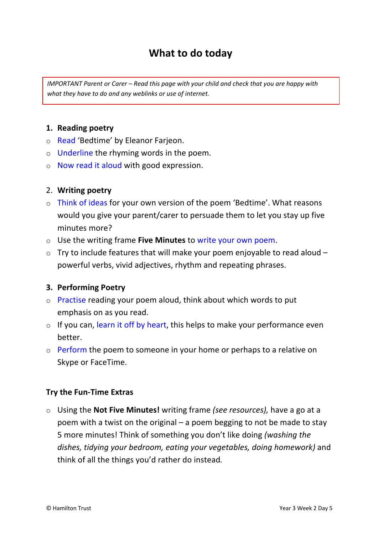# **What to do today**

*IMPORTANT Parent or Carer – Read this page with your child and check that you are happy with what they have to do and any weblinks or use of internet.* 

#### **1. Reading poetry**

- o Read 'Bedtime' by Eleanor Farjeon.
- o Underline the rhyming words in the poem.
- o Now read it aloud with good expression.

#### 2. **Writing poetry**

- o Think of ideas for your own version of the poem 'Bedtime'. What reasons would you give your parent/carer to persuade them to let you stay up five minutes more?
- o Use the writing frame **Five Minutes** to write your own poem.
- $\circ$  Try to include features that will make your poem enjoyable to read aloud  $$ powerful verbs, vivid adjectives, rhythm and repeating phrases.

#### **3. Performing Poetry**

- o Practise reading your poem aloud, think about which words to put emphasis on as you read.
- $\circ$  If you can, learn it off by heart, this helps to make your performance even better.
- o Perform the poem to someone in your home or perhaps to a relative on Skype or FaceTime.

#### **Try the Fun-Time Extras**

o Using the **Not Five Minutes!** writing frame *(see resources),* have a go at a poem with a twist on the original – a poem begging to not be made to stay 5 more minutes! Think of something you don't like doing *(washing the dishes, tidying your bedroom, eating your vegetables, doing homework)* and think of all the things you'd rather do instead*.*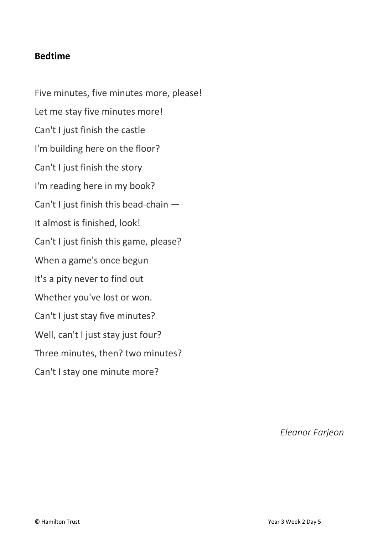## **Bedtime**

Five minutes, five minutes more, please! Let me stay five minutes more! Can't I just finish the castle I'm building here on the floor? Can't I just finish the story I'm reading here in my book? Can't I just finish this bead-chain — It almost is finished, look! Can't I just finish this game, please? When a game's once begun It's a pity never to find out Whether you've lost or won. Can't I just stay five minutes? Well, can't I just stay just four? Three minutes, then? two minutes? Can't I stay one minute more?

*Eleanor Farjeon*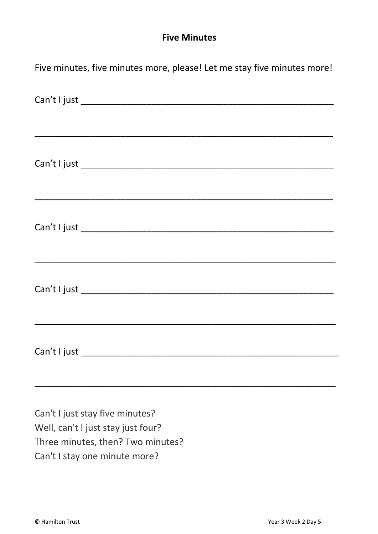# **Five Minutes**

| Five minutes, five minutes more, please! Let me stay five minutes more! |
|-------------------------------------------------------------------------|
|                                                                         |
|                                                                         |
|                                                                         |
|                                                                         |
|                                                                         |
|                                                                         |

Can't I just stay five minutes? Well, can't I just stay just four? Three minutes, then? Two minutes? Can't I stay one minute more?